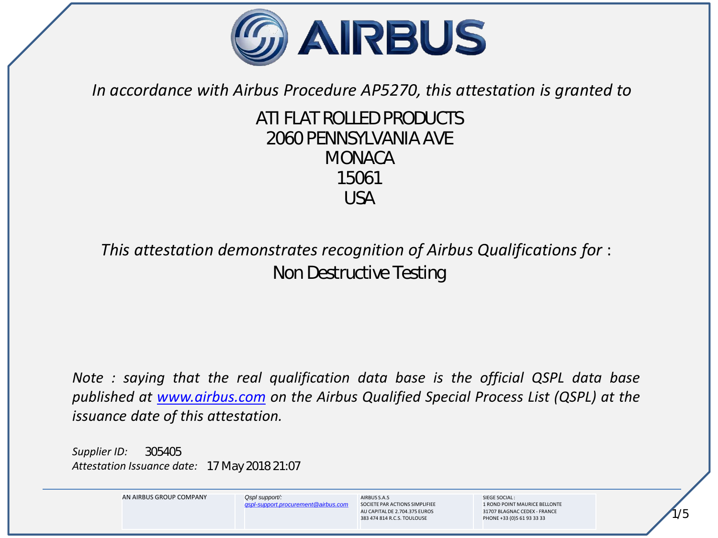

*In accordance with Airbus Procedure AP5270, this attestation is granted to*

# *ATI FLAT ROLLED PRODUCTS 2060 PENNSYLVANIA AVE MONACA 15061 USA*

# *This attestation demonstrates recognition of Airbus Qualifications for* : *Non Destructive Testing*

*Note : saying that the real qualification data base is the official QSPL data base published at www.airbus.com on the Airbus Qualified Special Process List (QSPL) at the issuance date of this attestation.*

*Supplier ID: Attestation Issuance date: 17 May 2018 21:07 305405*



*qspl-support.procurement@airbus.com*

**AIRBUSSAS** SOCIETE PAR ACTIONS SIMPLIFIEE AU CAPITAL DE 2.704.375 EUROS 383 474 814 R.C.S. TOULOUSE

SIEGE SOCIAL : 1 ROND POINT MAURICE BELLONTE 31707 BLAGNAC CEDEX - FRANCE PHONE +33 (0)5 61 93 33 33

*1/5*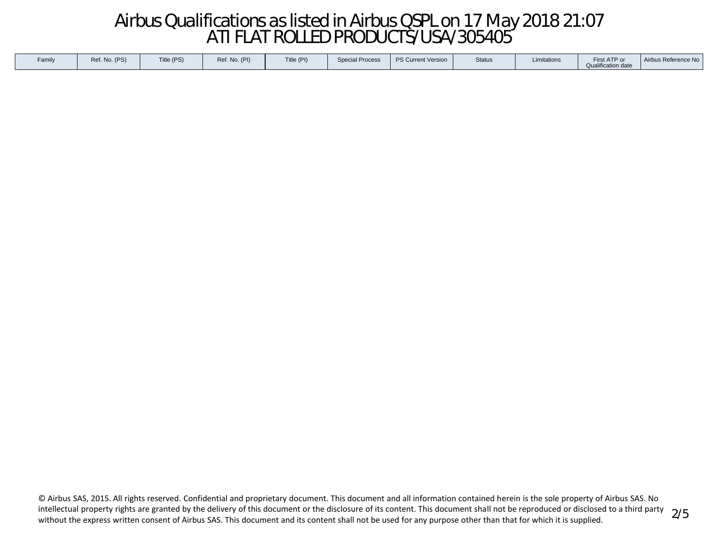# *Airbus Qualifications as listed in Airbus QSPL on 17 May 2018 21:07 ATI FLAT ROLLED PRODUCTS/USA/305405*

| Title (PI)<br>Ref. No. (PS)<br>Title (PS)<br>Ref. No. (PI)<br><b>Special Process</b><br>Status<br>Limitations<br><b>Qualification date</b> |
|--------------------------------------------------------------------------------------------------------------------------------------------|
|--------------------------------------------------------------------------------------------------------------------------------------------|

© Airbus SAS, 2015. All rights reserved. Confidential and proprietary document. This document and all information contained herein is the sole property of Airbus SAS. No intellectual property rights are granted by the delivery of this document or the disclosure of its content. This document shall not be reproduced or disclosed to a third party without the express written consent of Airbus SAS. This document and its content shall not be used for any purpose other than that for which it is supplied.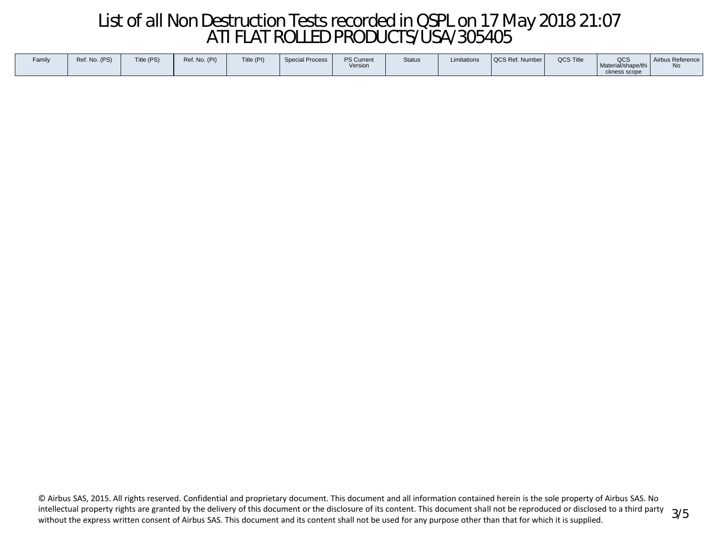# *List of all Non Destruction Tests recorded in QSPL on 17 May 2018 21:07 ATI FLAT ROLLED PRODUCTS/USA/305405*

| Family | Ref. No. (PS) | Title (PS) | Ref. No. (PI) | Title (PI) | <b>Special Process</b> | <b>PS Current</b><br>Version | <b>Status</b> | Limitations | <b>QCS Ref. Number I</b> | <b>QCS Title</b> | QCS<br>Material/shape/thi<br>ckness scope | Airbus Reference<br>$N_{\Omega}$ |
|--------|---------------|------------|---------------|------------|------------------------|------------------------------|---------------|-------------|--------------------------|------------------|-------------------------------------------|----------------------------------|
|--------|---------------|------------|---------------|------------|------------------------|------------------------------|---------------|-------------|--------------------------|------------------|-------------------------------------------|----------------------------------|

© Airbus SAS, 2015. All rights reserved. Confidential and proprietary document. This document and all information contained herein is the sole property of Airbus SAS. No intellectual property rights are granted by the delivery of this document or the disclosure of its content. This document shall not be reproduced or disclosed to a third party without the express written consent of Airbus SAS. This document and its content shall not be used for any purpose other than that for which it is supplied.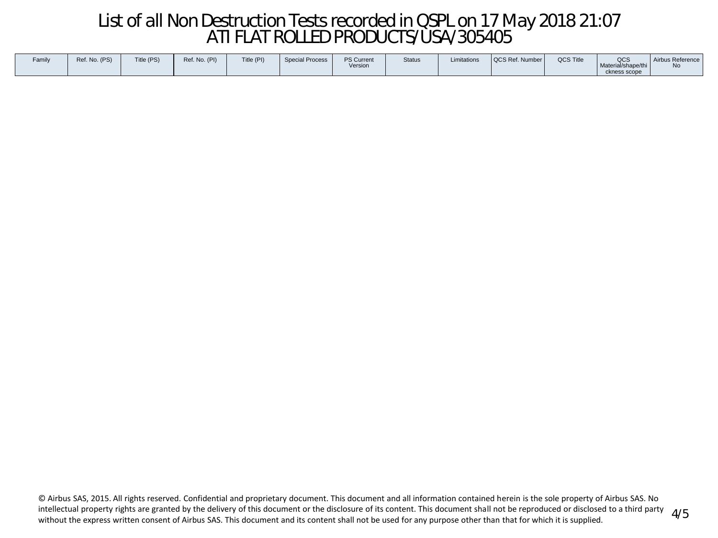# *List of all Non Destruction Tests recorded in QSPL on 17 May 2018 21:07 ATI FLAT ROLLED PRODUCTS/USA/305405*

| <b>PS Current</b><br><b>Special Process</b><br>Family<br>Title (PS)<br>Title (PI)<br>Ref. No. (PI)<br>Ref. No. (PS)<br>Version | Limitations<br><b>Status</b> | <b>QCS Title</b><br>  QCS Ref. Number | QCS<br>Airbus Reference<br>Material/shape/thi<br>No<br>ckness scope |
|--------------------------------------------------------------------------------------------------------------------------------|------------------------------|---------------------------------------|---------------------------------------------------------------------|
|--------------------------------------------------------------------------------------------------------------------------------|------------------------------|---------------------------------------|---------------------------------------------------------------------|

© Airbus SAS, 2015. All rights reserved. Confidential and proprietary document. This document and all information contained herein is the sole property of Airbus SAS. No intellectual property rights are granted by the delivery of this document or the disclosure of its content. This document shall not be reproduced or disclosed to a third party without the express written consent of Airbus SAS. This document and its content shall not be used for any purpose other than that for which it is supplied. *4/5*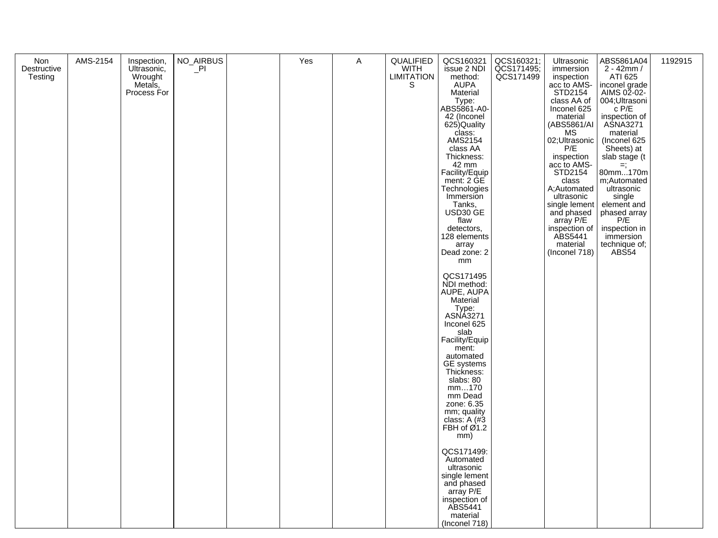| Non         | AMS-2154 | Inspection,        | NO_AIRBUS | Yes | Α | QUALIFIED          | QCS160321                     |                                       | Ultrasonic                  | ABS5861A04                  | 1192915 |
|-------------|----------|--------------------|-----------|-----|---|--------------------|-------------------------------|---------------------------------------|-----------------------------|-----------------------------|---------|
| Destructive |          | Ultrasonic,        | $\Box$ PI |     |   | WITH<br>LIMITATION | issue 2 NDI                   | QCS160321;<br>QCS171495;<br>QCS171499 | immersion                   | $2 - 42mm/$                 |         |
| Testing     |          | Wrought<br>Metals, |           |     |   | S                  | method:<br><b>AUPA</b>        |                                       | inspection<br>acc to AMS-   | ATI 625<br>inconel grade    |         |
|             |          | Process For        |           |     |   |                    | Material                      |                                       | STD2154                     | AIMS 02-02-                 |         |
|             |          |                    |           |     |   |                    | Type:                         |                                       | class AA of                 | 004;Ultrasoni               |         |
|             |          |                    |           |     |   |                    | ABS5861-A0-<br>42 (Inconel    |                                       | Inconel 625<br>material     | $c$ P/E                     |         |
|             |          |                    |           |     |   |                    | 625) Quality                  |                                       | (ABS5861/AI                 | inspection of<br>ASNA3271   |         |
|             |          |                    |           |     |   |                    | class:<br>AMS2154             |                                       | <b>MS</b><br>02;Ultrasonic  | material                    |         |
|             |          |                    |           |     |   |                    | class AA                      |                                       | P/E                         | (Inconel 625<br>Sheets) at  |         |
|             |          |                    |           |     |   |                    | Thickness:                    |                                       | inspection                  | slab stage (t               |         |
|             |          |                    |           |     |   |                    | 42 mm<br>Facility/Equip       |                                       | acc to AMS-<br>STD2154      | $=$<br>80mm170m             |         |
|             |          |                    |           |     |   |                    | ment: 2 GE                    |                                       | class                       | m;Automated                 |         |
|             |          |                    |           |     |   |                    | Technologies                  |                                       | A;Automated                 | ultrasonic                  |         |
|             |          |                    |           |     |   |                    | Immersion                     |                                       | ultrasonic                  | single                      |         |
|             |          |                    |           |     |   |                    | Tanks,<br>USD30 GE            |                                       | single lement<br>and phased | element and<br>phased array |         |
|             |          |                    |           |     |   |                    | flaw                          |                                       | array P/E                   | P/E                         |         |
|             |          |                    |           |     |   |                    | detectors,<br>128 elements    |                                       | inspection of<br>ABS5441    | inspection in<br>immersion  |         |
|             |          |                    |           |     |   |                    | array                         |                                       | material                    | technique of;               |         |
|             |          |                    |           |     |   |                    | Dead zone: 2                  |                                       | (Inconel 718)               | ABS54                       |         |
|             |          |                    |           |     |   |                    | mm                            |                                       |                             |                             |         |
|             |          |                    |           |     |   |                    | QCS171495                     |                                       |                             |                             |         |
|             |          |                    |           |     |   |                    | NDI method:                   |                                       |                             |                             |         |
|             |          |                    |           |     |   |                    | AUPE, AUPA<br>Material        |                                       |                             |                             |         |
|             |          |                    |           |     |   |                    | Type:<br>ASNA3271             |                                       |                             |                             |         |
|             |          |                    |           |     |   |                    |                               |                                       |                             |                             |         |
|             |          |                    |           |     |   |                    | Inconel 625<br>slab           |                                       |                             |                             |         |
|             |          |                    |           |     |   |                    | Facility/Equip                |                                       |                             |                             |         |
|             |          |                    |           |     |   |                    | ment:<br>automated            |                                       |                             |                             |         |
|             |          |                    |           |     |   |                    | GE systems                    |                                       |                             |                             |         |
|             |          |                    |           |     |   |                    | Thickness:                    |                                       |                             |                             |         |
|             |          |                    |           |     |   |                    | slabs: 80<br>mm170            |                                       |                             |                             |         |
|             |          |                    |           |     |   |                    | mm Dead                       |                                       |                             |                             |         |
|             |          |                    |           |     |   |                    | zone: 6.35                    |                                       |                             |                             |         |
|             |          |                    |           |     |   |                    | mm; quality<br>class: $A$ (#3 |                                       |                             |                             |         |
|             |          |                    |           |     |   |                    | FBH of $\emptyset$ 1.2        |                                       |                             |                             |         |
|             |          |                    |           |     |   |                    | mm)                           |                                       |                             |                             |         |
|             |          |                    |           |     |   |                    | QCS171499:                    |                                       |                             |                             |         |
|             |          |                    |           |     |   |                    | Automated                     |                                       |                             |                             |         |
|             |          |                    |           |     |   |                    | ultrasonic<br>single lement   |                                       |                             |                             |         |
|             |          |                    |           |     |   |                    | and phased                    |                                       |                             |                             |         |
|             |          |                    |           |     |   |                    | array P/E                     |                                       |                             |                             |         |
|             |          |                    |           |     |   |                    | inspection of<br>ABS5441      |                                       |                             |                             |         |
|             |          |                    |           |     |   |                    | material                      |                                       |                             |                             |         |
|             |          |                    |           |     |   |                    | (Inconel 718)                 |                                       |                             |                             |         |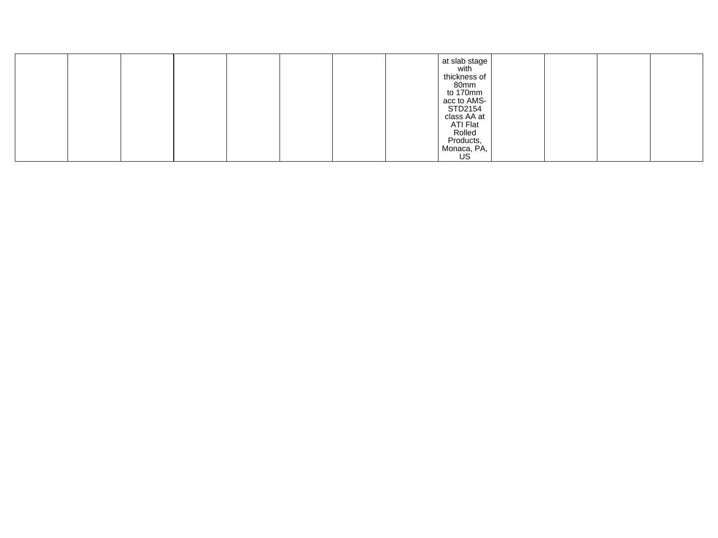|  |  |  |  | $\left  \begin{array}{c} 1 \\ 1 \\ 2 \end{array} \right $ at slab stage<br>thickness of<br>80mm<br>to 170mm<br>acc to AMS-<br>STD2154<br>class AA at<br>ATI Flat<br>Rolled<br>Products,<br>Monaca, PA, |  |  |
|--|--|--|--|--------------------------------------------------------------------------------------------------------------------------------------------------------------------------------------------------------|--|--|
|  |  |  |  | US                                                                                                                                                                                                     |  |  |